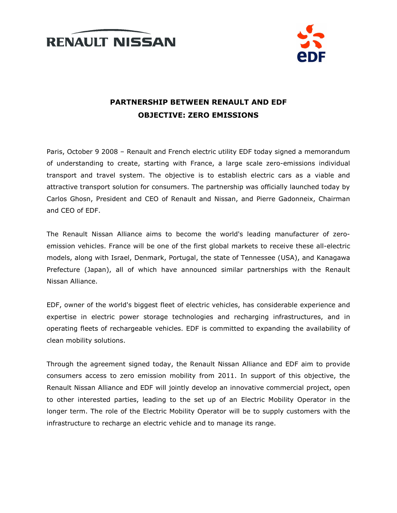



# PARTNERSHIP BETWEEN RENAULT AND EDF OBJECTIVE: ZERO EMISSIONS

Paris, October 9 2008 – Renault and French electric utility EDF today signed a memorandum of understanding to create, starting with France, a large scale zero-emissions individual transport and travel system. The objective is to establish electric cars as a viable and attractive transport solution for consumers. The partnership was officially launched today by Carlos Ghosn, President and CEO of Renault and Nissan, and Pierre Gadonneix, Chairman and CEO of EDF.

The Renault Nissan Alliance aims to become the world's leading manufacturer of zeroemission vehicles. France will be one of the first global markets to receive these all-electric models, along with Israel, Denmark, Portugal, the state of Tennessee (USA), and Kanagawa Prefecture (Japan), all of which have announced similar partnerships with the Renault Nissan Alliance.

EDF, owner of the world's biggest fleet of electric vehicles, has considerable experience and expertise in electric power storage technologies and recharging infrastructures, and in operating fleets of rechargeable vehicles. EDF is committed to expanding the availability of clean mobility solutions.

Through the agreement signed today, the Renault Nissan Alliance and EDF aim to provide consumers access to zero emission mobility from 2011. In support of this objective, the Renault Nissan Alliance and EDF will jointly develop an innovative commercial project, open to other interested parties, leading to the set up of an Electric Mobility Operator in the longer term. The role of the Electric Mobility Operator will be to supply customers with the infrastructure to recharge an electric vehicle and to manage its range.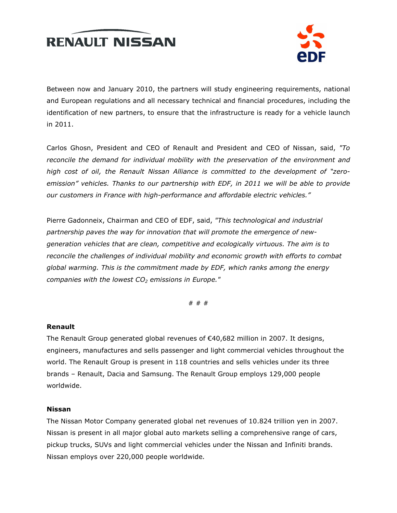



Between now and January 2010, the partners will study engineering requirements, national and European regulations and all necessary technical and financial procedures, including the identification of new partners, to ensure that the infrastructure is ready for a vehicle launch in 2011.

Carlos Ghosn, President and CEO of Renault and President and CEO of Nissan, said, "To reconcile the demand for individual mobility with the preservation of the environment and high cost of oil, the Renault Nissan Alliance is committed to the development of "zeroemission" vehicles. Thanks to our partnership with EDF, in 2011 we will be able to provide our customers in France with high-performance and affordable electric vehicles."

Pierre Gadonneix, Chairman and CEO of EDF, said, "This technological and industrial partnership paves the way for innovation that will promote the emergence of newgeneration vehicles that are clean, competitive and ecologically virtuous. The aim is to reconcile the challenges of individual mobility and economic growth with efforts to combat global warming. This is the commitment made by EDF, which ranks among the energy companies with the lowest  $CO<sub>2</sub>$  emissions in Europe."

# # #

#### Renault

The Renault Group generated global revenues of €40,682 million in 2007. It designs, engineers, manufactures and sells passenger and light commercial vehicles throughout the world. The Renault Group is present in 118 countries and sells vehicles under its three brands – Renault, Dacia and Samsung. The Renault Group employs 129,000 people worldwide.

#### Nissan

The Nissan Motor Company generated global net revenues of 10.824 trillion yen in 2007. Nissan is present in all major global auto markets selling a comprehensive range of cars, pickup trucks, SUVs and light commercial vehicles under the Nissan and Infiniti brands. Nissan employs over 220,000 people worldwide.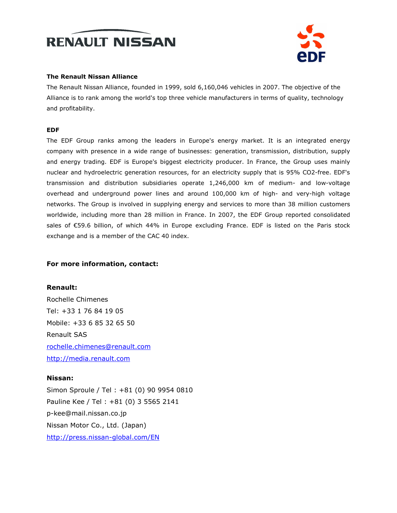



#### The Renault Nissan Alliance

The Renault Nissan Alliance, founded in 1999, sold 6,160,046 vehicles in 2007. The objective of the Alliance is to rank among the world's top three vehicle manufacturers in terms of quality, technology and profitability.

#### EDF

The EDF Group ranks among the leaders in Europe's energy market. It is an integrated energy company with presence in a wide range of businesses: generation, transmission, distribution, supply and energy trading. EDF is Europe's biggest electricity producer. In France, the Group uses mainly nuclear and hydroelectric generation resources, for an electricity supply that is 95% CO2-free. EDF's transmission and distribution subsidiaries operate 1,246,000 km of medium- and low-voltage overhead and underground power lines and around 100,000 km of high- and very-high voltage networks. The Group is involved in supplying energy and services to more than 38 million customers worldwide, including more than 28 million in France. In 2007, the EDF Group reported consolidated sales of €59.6 billion, of which 44% in Europe excluding France. EDF is listed on the Paris stock exchange and is a member of the CAC 40 index.

## For more information, contact:

Renault: Rochelle Chimenes Tel: +33 1 76 84 19 05 Mobile: +33 6 85 32 65 50 Renault SAS rochelle.chimenes@renault.com http://media.renault.com

## Nissan:

Simon Sproule / Tel : +81 (0) 90 9954 0810 Pauline Kee / Tel : +81 (0) 3 5565 2141 p-kee@mail.nissan.co.jp Nissan Motor Co., Ltd. (Japan) http://press.nissan-global.com/EN